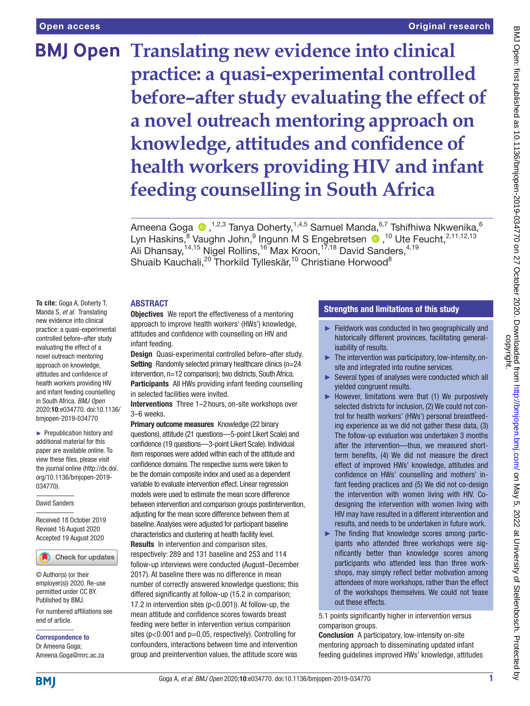# Original research

# **BMJ Open Translating new evidence into clinical practice: a quasi-experimental controlled before–after study evaluating the effect of a novel outreach mentoring approach on knowledge, attitudes and confidence of health workers providing HIV and infant feeding counselling in South Africa**

AmeenaGoga  $\bigcirc$  ,<sup>1,2,3</sup> Tanya Doherty,<sup>1,4,5</sup> Samuel Manda,<sup>6,7</sup> Tshifhiwa Nkwenika,<sup>6</sup> LynHaskins,<sup>8</sup> Vaughn John,<sup>9</sup> Ingunn M S Engebretsen <sup>10</sup>,<sup>10</sup> Ute Feucht,<sup>2,11,12,13</sup> Ali Dhansay,<sup>14,15</sup> Nigel Rollins,<sup>16</sup> Max Kroon,<sup>17,18</sup> David Sanders,<sup>4,19</sup> Shuaib Kauchali,<sup>20</sup> Thorkild Tylleskär,<sup>10</sup> Christiane Horwood<sup>8</sup>

# ABSTRACT

**To cite:** Goga A, Doherty T, Manda S, *et al*. Translating new evidence into clinical practice: a quasi-experimental controlled before–after study evaluating the effect of a novel outreach mentoring approach on knowledge, attitudes and confidence of health workers providing HIV and infant feeding counselling in South Africa. *BMJ Open* 2020;10:e034770. doi:10.1136/ bmjopen-2019-034770

► Prepublication history and additional material for this paper are available online. To view these files, please visit the journal online (http://dx.doi. org/10.1136/bmjopen-2019- 034770).

#### David Sanders

Received 18 October 2019 Revised 16 August 2020 Accepted 19 August 2020



© Author(s) (or their employer(s)) 2020. Re-use permitted under CC BY. Published by BMJ.

For numbered affiliations see end of article.

Correspondence to Dr Ameena Goga; Ameena.Goga@mrc.ac.za **Objectives** We report the effectiveness of a mentoring approach to improve health workers' (HWs') knowledge, attitudes and confidence with counselling on HIV and infant feeding.

Design Quasi-experimental controlled before–after study. Setting Randomly selected primary healthcare clinics (n=24 intervention, n=12 comparison); two districts, South Africa. Participants All HWs providing infant feeding counselling in selected facilities were invited.

Interventions Three 1–2 hours, on-site workshops over 3–6 weeks.

Primary outcome measures Knowledge (22 binary questions), attitude (21 questions—5-point Likert Scale) and confidence (19 questions—3-point Likert Scale). Individual item responses were added within each of the attitude and confidence domains. The respective sums were taken to be the domain composite index and used as a dependent variable to evaluate intervention effect. Linear regression models were used to estimate the mean score difference between intervention and comparison groups postintervention, adjusting for the mean score difference between them at baseline. Analyses were adjusted for participant baseline characteristics and clustering at health facility level. Results In intervention and comparison sites, respectively: 289 and 131 baseline and 253 and 114 follow-up interviews were conducted (August–December 2017). At baseline there was no difference in mean number of correctly answered knowledge questions; this differed significantly at follow-up (15.2 in comparison; 17.2 in intervention sites (p<0.001)). At follow-up, the mean attitude and confidence scores towards breast feeding were better in intervention versus comparison sites (p<0.001 and p=0.05, respectively). Controlling for confounders, interactions between time and intervention group and preintervention values, the attitude score was

# Strengths and limitations of this study

- ► Fieldwork was conducted in two geographically and historically different provinces, facilitating generalisability of results.
- $\blacktriangleright$  The intervention was participatory, low-intensity, onsite and integrated into routine services.
- ► Several types of analyses were conducted which all yielded congruent results.
- ► However, limitations were that (1) We purposively selected districts for inclusion, (2) We could not control for health workers' (HWs') personal breastfeeding experience as we did not gather these data, (3) The follow-up evaluation was undertaken 3 months after the intervention—thus, we measured shortterm benefits, (4) We did not measure the direct effect of improved HWs' knowledge, attitudes and confidence on HWs' counselling and mothers' infant feeding practices and (5) We did not co-design the intervention with women living with HIV. Codesigning the intervention with women living with HIV may have resulted in a different intervention and results, and needs to be undertaken in future work.
- ► The finding that knowledge scores among participants who attended three workshops were significantly better than knowledge scores among participants who attended less than three workshops, may simply reflect better motivation among attendees of more workshops, rather than the effect of the workshops themselves. We could not tease out these effects.

5.1 points significantly higher in intervention versus comparison groups.

Conclusion A participatory, low-intensity on-site mentoring approach to disseminating updated infant feeding guidelines improved HWs' knowledge, attitudes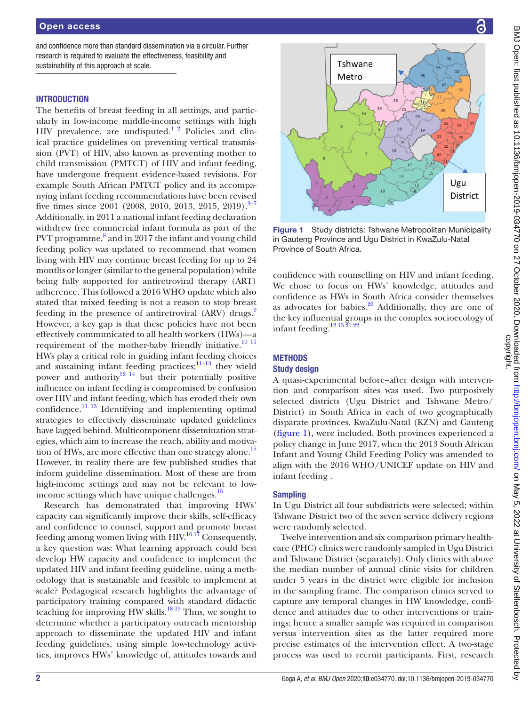and confidence more than standard dissemination via a circular. Further research is required to evaluate the effectiveness, feasibility and sustainability of this approach at scale.

# **INTRODUCTION**

The benefits of breast feeding in all settings, and particularly in low-income middle-income settings with high  $HIV$  prevalence, are undisputed.<sup>1 2</sup> Policies and clinical practice guidelines on preventing vertical transmission (PVT) of HIV, also known as preventing mother to child transmission (PMTCT) of HIV and infant feeding, have undergone frequent evidence-based revisions. For example South African PMTCT policy and its accompanying infant feeding recommendations have been revised five times since 2001 (2008, 2010, 2013, 2015, 2019).<sup>3–7</sup> Additionally, in 2011 a national infant feeding declaration withdrew free commercial infant formula as part of the PVT programme,<sup>[8](#page-11-2)</sup> and in 2017 the infant and young child feeding policy was updated to recommend that women living with HIV may continue breast feeding for up to 24 months or longer (similar to the general population) while being fully supported for antiretroviral therapy (ART) adherence. This followed a 2016 WHO update which also stated that mixed feeding is not a reason to stop breast feeding in the presence of antiretroviral (ARV) drugs. However, a key gap is that these policies have not been effectively communicated to all health workers (HWs)—a requirement of the mother-baby friendly initiative.<sup>[10 11](#page-11-4)</sup> HWs play a critical role in guiding infant feeding choices and sustaining infant feeding practices; $\frac{11-13}{1}$  they wield power and authority $12^{14}$  but their potentially positive influence on infant feeding is compromised by confusion over HIV and infant feeding, which has eroded their own confidence. $^{11}$  13 Identifying and implementing optimal strategies to effectively disseminate updated guidelines have lagged behind. Multicomponent dissemination strategies, which aim to increase the reach, ability and motivation of HWs, are more effective than one strategy alone.<sup>15</sup> However, in reality there are few published studies that inform guideline dissemination. Most of these are from high-income settings and may not be relevant to lowincome settings which have unique challenges. $^{15}$  $^{15}$  $^{15}$ 

Research has demonstrated that improving HWs' capacity can significantly improve their skills, self-efficacy and confidence to counsel, support and promote breast feeding among women living with  $HIV<sup>1617</sup>$  Consequently, a key question was: What learning approach could best develop HW capacity and confidence to implement the updated HIV and infant feeding guideline, using a methodology that is sustainable and feasible to implement at scale? Pedagogical research highlights the advantage of participatory training compared with standard didactic teaching for improving HW skills.<sup>[18 19](#page-12-0)</sup> Thus, we sought to determine whether a participatory outreach mentorship approach to disseminate the updated HIV and infant feeding guidelines, using simple low-technology activities, improves HWs' knowledge of, attitudes towards and



<span id="page-1-0"></span>Figure 1 Study districts: Tshwane Metropolitan Municipality in Gauteng Province and Ugu District in KwaZulu-Natal Province of South Africa.

confidence with counselling on HIV and infant feeding. We chose to focus on HWs' knowledge, attitudes and confidence as HWs in South Africa consider themselves as advocates for babies. $\frac{20}{3}$  Additionally, they are one of the key influential groups in the complex socioecology of infant feeding.<sup>12 13 21 22</sup>

# **METHODS**

# Study design

A quasi-experimental before–after design with intervention and comparison sites was used. Two purposively selected districts (Ugu District and Tshwane Metro/ District) in South Africa in each of two geographically disparate provinces, KwaZulu-Natal (KZN) and Gauteng [\(figure](#page-1-0) 1), were included. Both provinces experienced a policy change in June 2017, when the 2013 South African Infant and Young Child Feeding Policy was amended to align with the 2016 WHO/UNICEF update on HIV and infant feeding .

# **Sampling**

In Ugu District all four subdistricts were selected; within Tshwane District two of the seven service delivery regions were randomly selected.

Twelve intervention and six comparison primary healthcare (PHC) clinics were randomly sampled in Ugu District and Tshwane District (separately). Only clinics with above the median number of annual clinic visits for children under 5 years in the district were eligible for inclusion in the sampling frame. The comparison clinics served to capture any temporal changes in HW knowledge, confidence and attitudes due to other interventions or trainings; hence a smaller sample was required in comparison versus intervention sites as the latter required more precise estimates of the intervention effect. A two-stage process was used to recruit participants. First, research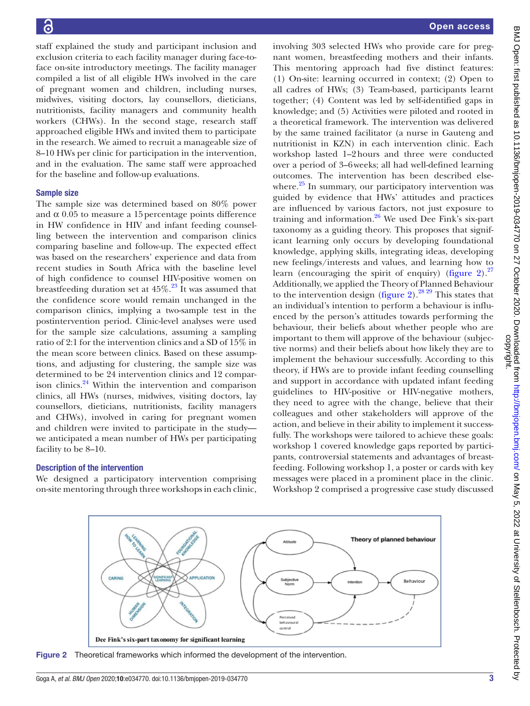staff explained the study and participant inclusion and exclusion criteria to each facility manager during face-toface on-site introductory meetings. The facility manager compiled a list of all eligible HWs involved in the care of pregnant women and children, including nurses, midwives, visiting doctors, lay counsellors, dieticians, nutritionists, facility managers and community health workers (CHWs). In the second stage, research staff approached eligible HWs and invited them to participate in the research. We aimed to recruit a manageable size of 8–10 HWs per clinic for participation in the intervention, and in the evaluation. The same staff were approached for the baseline and follow-up evaluations.

## Sample size

The sample size was determined based on 80% power and  $\alpha$  0.05 to measure a 15 percentage points difference in HW confidence in HIV and infant feeding counselling between the intervention and comparison clinics comparing baseline and follow-up. The expected effect was based on the researchers' experience and data from recent studies in South Africa with the baseline level of high confidence to counsel HIV-positive women on breastfeeding duration set at  $45\%$ .<sup>23</sup> It was assumed that the confidence score would remain unchanged in the comparison clinics, implying a two-sample test in the postintervention period. Clinic-level analyses were used for the sample size calculations, assuming a sampling ratio of 2:1 for the intervention clinics and a SD of 15% in the mean score between clinics. Based on these assumptions, and adjusting for clustering, the sample size was determined to be 24 intervention clinics and 12 comparison clinics. $24$  Within the intervention and comparison clinics, all HWs (nurses, midwives, visiting doctors, lay counsellors, dieticians, nutritionists, facility managers and CHWs), involved in caring for pregnant women and children were invited to participate in the study we anticipated a mean number of HWs per participating facility to be 8–10.

# Description of the intervention

We designed a participatory intervention comprising on-site mentoring through three workshops in each clinic,

involving 303 selected HWs who provide care for pregnant women, breastfeeding mothers and their infants. This mentoring approach had five distinct features: (1) On-site: learning occurred in context; (2) Open to all cadres of HWs; (3) Team-based, participants learnt together; (4) Content was led by self-identified gaps in knowledge; and (5) Activities were piloted and rooted in a theoretical framework. The intervention was delivered by the same trained facilitator (a nurse in Gauteng and nutritionist in KZN) in each intervention clinic. Each workshop lasted 1–2hours and three were conducted over a period of 3–6weeks; all had well-defined learning outcomes. The intervention has been described elsewhere. $25$  In summary, our participatory intervention was guided by evidence that HWs' attitudes and practices are influenced by various factors, not just exposure to training and information. $26$  We used Dee Fink's six-part taxonomy as a guiding theory. This proposes that significant learning only occurs by developing foundational knowledge, applying skills, integrating ideas, developing new feelings/interests and values, and learning how to learn (encouraging the spirit of enquiry) ([figure](#page-2-0) 2).<sup>[27](#page-12-6)</sup> Additionally, we applied the Theory of Planned Behaviour to the intervention design ([figure](#page-2-0) 2).<sup>[28 29](#page-12-7)</sup> This states that an individual's intention to perform a behaviour is influenced by the person's attitudes towards performing the behaviour, their beliefs about whether people who are important to them will approve of the behaviour (subjective norms) and their beliefs about how likely they are to implement the behaviour successfully. According to this theory, if HWs are to provide infant feeding counselling and support in accordance with updated infant feeding guidelines to HIV-positive or HIV-negative mothers, they need to agree with the change, believe that their colleagues and other stakeholders will approve of the action, and believe in their ability to implement it successfully. The workshops were tailored to achieve these goals: workshop 1 covered knowledge gaps reported by participants, controversial statements and advantages of breastfeeding. Following workshop 1, a poster or cards with key messages were placed in a prominent place in the clinic. Workshop 2 comprised a progressive case study discussed



<span id="page-2-0"></span>Figure 2 Theoretical frameworks which informed the development of the intervention.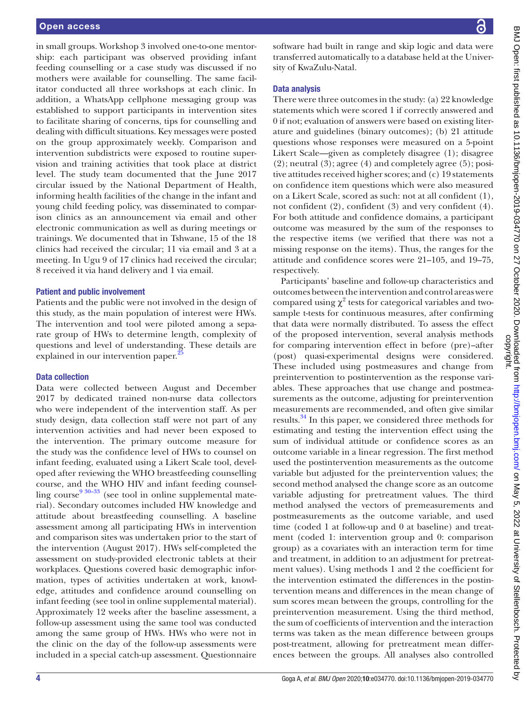in small groups. Workshop 3 involved one-to-one mentorship: each participant was observed providing infant feeding counselling or a case study was discussed if no mothers were available for counselling. The same facilitator conducted all three workshops at each clinic. In addition, a WhatsApp cellphone messaging group was established to support participants in intervention sites to facilitate sharing of concerns, tips for counselling and dealing with difficult situations. Key messages were posted on the group approximately weekly. Comparison and intervention subdistricts were exposed to routine supervision and training activities that took place at district level. The study team documented that the June 2017 circular issued by the National Department of Health, informing health facilities of the change in the infant and young child feeding policy, was disseminated to comparison clinics as an announcement via email and other electronic communication as well as during meetings or trainings. We documented that in Tshwane, 15 of the 18 clinics had received the circular; 11 via email and 3 at a meeting. In Ugu 9 of 17 clinics had received the circular; 8 received it via hand delivery and 1 via email.

#### Patient and public involvement

Patients and the public were not involved in the design of this study, as the main population of interest were HWs. The intervention and tool were piloted among a separate group of HWs to determine length, complexity of questions and level of understanding. These details are explained in our intervention paper.<sup>2</sup>

#### Data collection

Data were collected between August and December 2017 by dedicated trained non-nurse data collectors who were independent of the intervention staff. As per study design, data collection staff were not part of any intervention activities and had never been exposed to the intervention. The primary outcome measure for the study was the confidence level of HWs to counsel on infant feeding, evaluated using a Likert Scale tool, developed after reviewing the WHO breastfeeding counselling course, and the WHO HIV and infant feeding counselling course  $9^{930-33}$  (see tool in [online supplemental mate](https://dx.doi.org/10.1136/bmjopen-2019-034770)[rial\)](https://dx.doi.org/10.1136/bmjopen-2019-034770). Secondary outcomes included HW knowledge and attitude about breastfeeding counselling. A baseline assessment among all participating HWs in intervention and comparison sites was undertaken prior to the start of the intervention (August 2017). HWs self-completed the assessment on study-provided electronic tablets at their workplaces. Questions covered basic demographic information, types of activities undertaken at work, knowledge, attitudes and confidence around counselling on infant feeding (see tool in [online supplemental material](https://dx.doi.org/10.1136/bmjopen-2019-034770)). Approximately 12 weeks after the baseline assessment, a follow-up assessment using the same tool was conducted among the same group of HWs. HWs who were not in the clinic on the day of the follow-up assessments were included in a special catch-up assessment. Questionnaire

#### Data analysis

There were three outcomes in the study: (a) 22 knowledge statements which were scored 1 if correctly answered and 0 if not; evaluation of answers were based on existing literature and guidelines (binary outcomes); (b) 21 attitude questions whose responses were measured on a 5-point Likert Scale—given as completely disagree (1); disagree  $(2)$ ; neutral  $(3)$ ; agree  $(4)$  and completely agree  $(5)$ ; positive attitudes received higher scores; and (c) 19 statements on confidence item questions which were also measured on a Likert Scale, scored as such: not at all confident (1), not confident (2), confident (3) and very confident (4). For both attitude and confidence domains, a participant outcome was measured by the sum of the responses to the respective items (we verified that there was not a missing response on the items). Thus, the ranges for the attitude and confidence scores were 21–105, and 19–75, respectively.

Participants' baseline and follow-up characteristics and outcomes between the intervention and control areas were compared using  $\chi^2$  tests for categorical variables and twosample t-tests for continuous measures, after confirming that data were normally distributed. To assess the effect of the proposed intervention, several analysis methods for comparing intervention effect in before (pre)–after (post) quasi-experimental designs were considered. These included using postmeasures and change from preintervention to postintervention as the response variables. These approaches that use change and postmeasurements as the outcome, adjusting for preintervention measurements are recommended, and often give similar results[.34](#page-12-8) In this paper, we considered three methods for estimating and testing the intervention effect using the sum of individual attitude or confidence scores as an outcome variable in a linear regression. The first method used the postintervention measurements as the outcome variable but adjusted for the preintervention values; the second method analysed the change score as an outcome variable adjusting for pretreatment values. The third method analysed the vectors of premeasurements and postmeasurements as the outcome variable, and used time (coded 1 at follow-up and 0 at baseline) and treatment (coded 1: intervention group and 0: comparison group) as a covariates with an interaction term for time and treatment, in addition to an adjustment for pretreatment values). Using methods 1 and 2 the coefficient for the intervention estimated the differences in the postintervention means and differences in the mean change of sum scores mean between the groups, controlling for the preintervention measurement. Using the third method, the sum of coefficients of intervention and the interaction terms was taken as the mean difference between groups post-treatment, allowing for pretreatment mean differences between the groups. All analyses also controlled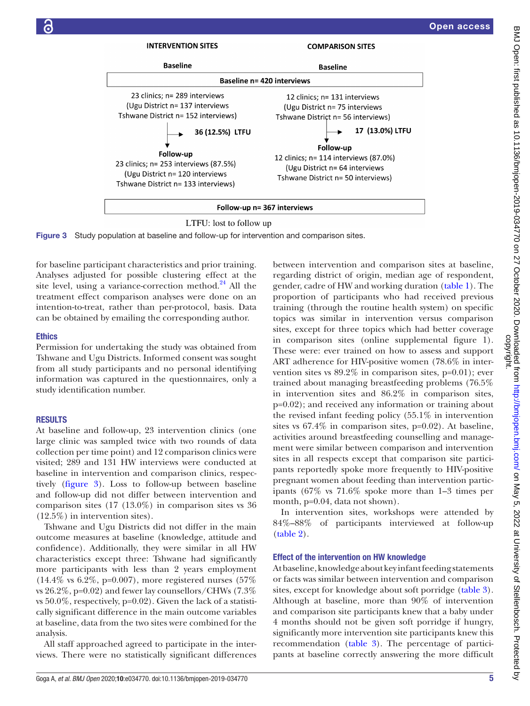

Figure 3 Study population at baseline and follow-up for intervention and comparison sites.

for baseline participant characteristics and prior training. Analyses adjusted for possible clustering effect at the site level, using a variance-correction method. $^{24}$  All the treatment effect comparison analyses were done on an intention-to-treat, rather than per-protocol, basis. Data can be obtained by emailing the corresponding author.

# **Ethics**

Permission for undertaking the study was obtained from Tshwane and Ugu Districts. Informed consent was sought from all study participants and no personal identifying information was captured in the questionnaires, only a study identification number.

# RESULTS

At baseline and follow-up, 23 intervention clinics (one large clinic was sampled twice with two rounds of data collection per time point) and 12 comparison clinics were visited; 289 and 131 HW interviews were conducted at baseline in intervention and comparison clinics, respectively [\(figure](#page-4-0) 3). Loss to follow-up between baseline and follow-up did not differ between intervention and comparison sites (17 (13.0%) in comparison sites vs 36 (12.5%) in intervention sites).

Tshwane and Ugu Districts did not differ in the main outcome measures at baseline (knowledge, attitude and confidence). Additionally, they were similar in all HW characteristics except three: Tshwane had significantly more participants with less than 2 years employment  $(14.4\% \text{ vs } 6.2\%, \text{ p=0.007}), \text{ more registered nurses } (57\%$ vs 26.2%, p=0.02) and fewer lay counsellors/CHWs (7.3% vs  $50.0\%$ , respectively, p=0.02). Given the lack of a statistically significant difference in the main outcome variables at baseline, data from the two sites were combined for the analysis.

All staff approached agreed to participate in the interviews. There were no statistically significant differences

<span id="page-4-0"></span>between intervention and comparison sites at baseline, regarding district of origin, median age of respondent, gender, cadre of HW and working duration [\(table](#page-5-0) 1). The proportion of participants who had received previous training (through the routine health system) on specific topics was similar in intervention versus comparison sites, except for three topics which had better coverage in comparison sites [\(online supplemental figure 1\)](https://dx.doi.org/10.1136/bmjopen-2019-034770). These were: ever trained on how to assess and support ART adherence for HIV-positive women (78.6% in intervention sites vs 89.2% in comparison sites, p=0.01); ever trained about managing breastfeeding problems (76.5% in intervention sites and 86.2% in comparison sites, p=0.02); and received any information or training about the revised infant feeding policy (55.1% in intervention sites vs 67.4% in comparison sites, p=0.02). At baseline, activities around breastfeeding counselling and management were similar between comparison and intervention sites in all respects except that comparison site participants reportedly spoke more frequently to HIV-positive pregnant women about feeding than intervention participants (67% vs 71.6% spoke more than 1–3 times per month, p=0.04, data not shown).

In intervention sites, workshops were attended by 84%–88% of participants interviewed at follow-up [\(table](#page-5-1) 2).

# Effect of the intervention on HW knowledge

At baseline, knowledge about key infant feeding statements or facts was similar between intervention and comparison sites, except for knowledge about soft porridge [\(table](#page-6-0) 3). Although at baseline, more than 90% of intervention and comparison site participants knew that a baby under 4 months should not be given soft porridge if hungry, significantly more intervention site participants knew this recommendation ([table](#page-6-0) 3). The percentage of participants at baseline correctly answering the more difficult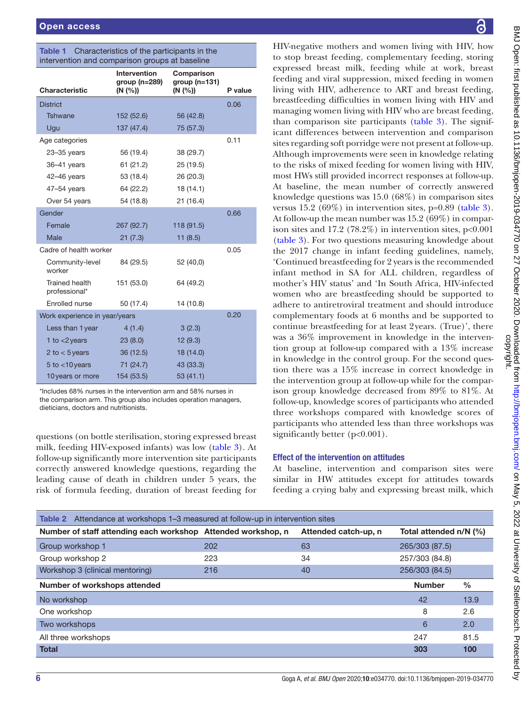| intervention and comparison groups at baseline |                                     |                               |         |  |  |  |
|------------------------------------------------|-------------------------------------|-------------------------------|---------|--|--|--|
|                                                | Intervention<br>group ( $n = 289$ ) | Comparison<br>group $(n=131)$ |         |  |  |  |
| Characteristic                                 | (N (%))                             | (N (%))                       | P value |  |  |  |
| <b>District</b>                                |                                     |                               | 0.06    |  |  |  |
| Tshwane                                        | 152 (52.6)                          | 56 (42.8)                     |         |  |  |  |
| Ugu                                            | 137 (47.4)                          | 75 (57.3)                     |         |  |  |  |
| Age categories                                 |                                     |                               | 0.11    |  |  |  |
| $23 - 35$ years                                | 56 (19.4)                           | 38 (29.7)                     |         |  |  |  |
| $36-41$ years                                  | 61 (21.2)                           | 25 (19.5)                     |         |  |  |  |
| $42 - 46$ years                                | 53 (18.4)                           | 26 (20.3)                     |         |  |  |  |
| $47-54$ years                                  | 64 (22.2)                           | 18(14.1)                      |         |  |  |  |
| Over 54 years                                  | 54 (18.8)                           | 21 (16.4)                     |         |  |  |  |
| Gender                                         |                                     |                               | 0.66    |  |  |  |
| Female                                         | 267 (92.7)                          | 118 (91.5)                    |         |  |  |  |
| Male                                           | 21(7.3)                             | 11(8.5)                       |         |  |  |  |
| Cadre of health worker                         |                                     |                               | 0.05    |  |  |  |
| Community-level<br>worker                      | 84 (29.5)                           | 52 (40,0)                     |         |  |  |  |
| Trained health<br>professional*                | 151 (53.0)                          | 64 (49.2)                     |         |  |  |  |
| Enrolled nurse                                 | 50 (17.4)                           | 14 (10.8)                     |         |  |  |  |
| Work experience in year/years                  |                                     |                               | 0.20    |  |  |  |
| Less than 1 year                               | 4(1.4)                              | 3(2.3)                        |         |  |  |  |
| 1 to $<$ 2 years                               | 23(8.0)                             | 12(9.3)                       |         |  |  |  |
| 2 to $<$ 5 years                               | 36(12.5)                            | 18 (14.0)                     |         |  |  |  |
| $5$ to $<$ 10 years                            | 71 (24.7)                           | 43 (33.3)                     |         |  |  |  |
| 10 years or more                               | 154 (53.5)                          | 53 (41.1)                     |         |  |  |  |
|                                                |                                     |                               |         |  |  |  |

<span id="page-5-0"></span>Table 1 Characteristics of the participants in the

\*Includes 68% nurses in the intervention arm and 58% nurses in the comparison arm. This group also includes operation managers, dieticians, doctors and nutritionists.

questions (on bottle sterilisation, storing expressed breast milk, feeding HIV-exposed infants) was low ([table](#page-6-0) 3). At follow-up significantly more intervention site participants correctly answered knowledge questions, regarding the leading cause of death in children under 5 years, the risk of formula feeding, duration of breast feeding for

HIV-negative mothers and women living with HIV, how to stop breast feeding, complementary feeding, storing expressed breast milk, feeding while at work, breast feeding and viral suppression, mixed feeding in women living with HIV, adherence to ART and breast feeding, breastfeeding difficulties in women living with HIV and managing women living with HIV who are breast feeding, than comparison site participants [\(table](#page-6-0) 3). The significant differences between intervention and comparison sites regarding soft porridge were not present at follow-up. Although improvements were seen in knowledge relating to the risks of mixed feeding for women living with HIV, most HWs still provided incorrect responses at follow-up. At baseline, the mean number of correctly answered knowledge questions was 15.0 (68%) in comparison sites versus 15.2 (69%) in intervention sites, p=0.89 [\(table](#page-6-0) 3). At follow-up the mean number was 15.2 (69%) in comparison sites and 17.2 (78.2%) in intervention sites,  $p<0.001$ [\(table](#page-6-0) 3). For two questions measuring knowledge about the 2017 change in infant feeding guidelines, namely, 'Continued breastfeeding for 2 years is the recommended infant method in SA for ALL children, regardless of mother's HIV status' and 'In South Africa, HIV-infected women who are breastfeeding should be supported to adhere to antiretroviral treatment and should introduce complementary foods at 6 months and be supported to continue breastfeeding for at least 2years. (True)', there was a 36% improvement in knowledge in the intervention group at follow-up compared with a 13% increase in knowledge in the control group. For the second question there was a 15% increase in correct knowledge in the intervention group at follow-up while for the comparison group knowledge decreased from 89% to 81%. At follow-up, knowledge scores of participants who attended three workshops compared with knowledge scores of participants who attended less than three workshops was significantly better (p<0.001).

# Effect of the intervention on attitudes

At baseline, intervention and comparison sites were similar in HW attitudes except for attitudes towards feeding a crying baby and expressing breast milk, which

<span id="page-5-1"></span>

| <b>Table 2</b> Attendance at workshops 1–3 measured at follow-up in intervention sites |     |                      |                        |               |  |  |
|----------------------------------------------------------------------------------------|-----|----------------------|------------------------|---------------|--|--|
| Number of staff attending each workshop Attended workshop, n                           |     | Attended catch-up, n | Total attended n/N (%) |               |  |  |
| Group workshop 1                                                                       | 202 | 63                   | 265/303 (87.5)         |               |  |  |
| Group workshop 2                                                                       | 223 | 34                   | 257/303 (84.8)         |               |  |  |
| Workshop 3 (clinical mentoring)                                                        | 216 | 40                   | 256/303 (84.5)         |               |  |  |
| Number of workshops attended                                                           |     |                      | <b>Number</b>          | $\frac{0}{0}$ |  |  |
| No workshop                                                                            |     |                      | 42                     | 13.9          |  |  |
| One workshop                                                                           |     |                      | 8                      | 2.6           |  |  |
| Two workshops                                                                          |     |                      | 6                      | 2.0           |  |  |
| All three workshops                                                                    |     |                      | 247                    | 81.5          |  |  |
| <b>Total</b>                                                                           |     |                      | 303                    | 100           |  |  |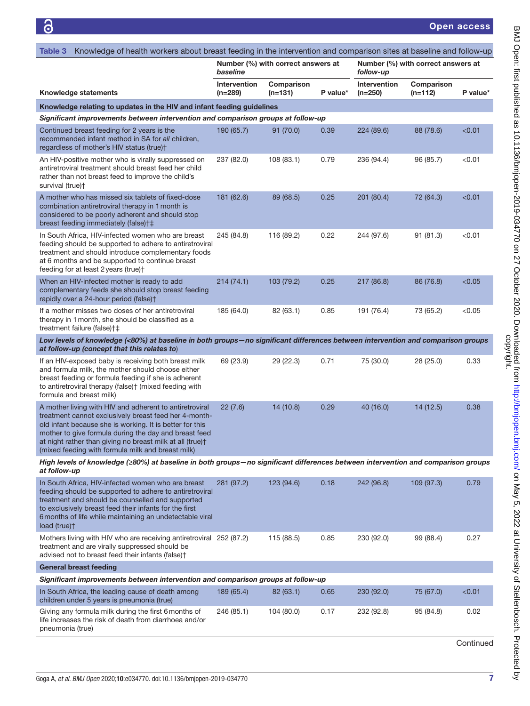Open access

<span id="page-6-0"></span>

| Knowledge of health workers about breast feeding in the intervention and comparison sites at baseline and follow-up<br>Table 3                                                                                                                                                                                                                          |                                                                                  |                         |          |                           |                                    |           |  |  |  |
|---------------------------------------------------------------------------------------------------------------------------------------------------------------------------------------------------------------------------------------------------------------------------------------------------------------------------------------------------------|----------------------------------------------------------------------------------|-------------------------|----------|---------------------------|------------------------------------|-----------|--|--|--|
|                                                                                                                                                                                                                                                                                                                                                         | Number (%) with correct answers at<br>baseline<br>follow-up                      |                         |          |                           | Number (%) with correct answers at |           |  |  |  |
| <b>Knowledge statements</b>                                                                                                                                                                                                                                                                                                                             | Intervention<br>$(n=289)$                                                        | Comparison<br>$(n=131)$ | P value* | Intervention<br>$(n=250)$ | Comparison<br>$(n=112)$            | P value*  |  |  |  |
| Knowledge relating to updates in the HIV and infant feeding guidelines                                                                                                                                                                                                                                                                                  |                                                                                  |                         |          |                           |                                    |           |  |  |  |
| Significant improvements between intervention and comparison groups at follow-up                                                                                                                                                                                                                                                                        |                                                                                  |                         |          |                           |                                    |           |  |  |  |
| Continued breast feeding for 2 years is the<br>recommended infant method in SA for all children,<br>regardless of mother's HIV status (true)+                                                                                                                                                                                                           | 190 (65.7)                                                                       | 91(70.0)                | 0.39     | 224 (89.6)                | 88 (78.6)                          | < 0.01    |  |  |  |
| An HIV-positive mother who is virally suppressed on<br>antiretroviral treatment should breast feed her child<br>rather than not breast feed to improve the child's<br>survival (true)†                                                                                                                                                                  | 237 (82.0)                                                                       | 108 (83.1)              | 0.79     | 236 (94.4)                | 96 (85.7)                          | < 0.01    |  |  |  |
| A mother who has missed six tablets of fixed-dose<br>combination antiretroviral therapy in 1 month is<br>considered to be poorly adherent and should stop<br>breast feeding immediately (false)†‡                                                                                                                                                       | 181 (62.6)                                                                       | 89 (68.5)               | 0.25     | 201 (80.4)                | 72 (64.3)                          | < 0.01    |  |  |  |
| In South Africa, HIV-infected women who are breast<br>feeding should be supported to adhere to antiretroviral<br>treatment and should introduce complementary foods<br>at 6 months and be supported to continue breast<br>feeding for at least 2 years (true)+                                                                                          | 245 (84.8)                                                                       | 116 (89.2)              | 0.22     | 244 (97.6)                | 91 (81.3)                          | < 0.01    |  |  |  |
| When an HIV-infected mother is ready to add<br>complementary feeds she should stop breast feeding<br>rapidly over a 24-hour period (false)†                                                                                                                                                                                                             | 214(74.1)                                                                        | 103 (79.2)              | 0.25     | 217 (86.8)                | 86 (76.8)                          | < 0.05    |  |  |  |
| If a mother misses two doses of her antiretroviral<br>therapy in 1 month, she should be classified as a<br>treatment failure (false)†‡                                                                                                                                                                                                                  | 185 (64.0)                                                                       | 82 (63.1)               | 0.85     | 191 (76.4)                | 73 (65.2)                          | < 0.05    |  |  |  |
| Low levels of knowledge (<80%) at baseline in both groups-no significant differences between intervention and comparison groups<br>at follow-up (concept that this relates to)                                                                                                                                                                          |                                                                                  |                         |          |                           |                                    |           |  |  |  |
| If an HIV-exposed baby is receiving both breast milk<br>and formula milk, the mother should choose either<br>breast feeding or formula feeding if she is adherent<br>to antiretroviral therapy (false) <sup>†</sup> (mixed feeding with<br>formula and breast milk)                                                                                     | 69 (23.9)                                                                        | 29 (22.3)               | 0.71     | 75 (30.0)                 | 28 (25.0)                          | 0.33      |  |  |  |
| A mother living with HIV and adherent to antiretroviral<br>treatment cannot exclusively breast feed her 4-month-<br>old infant because she is working. It is better for this<br>mother to give formula during the day and breast feed<br>at night rather than giving no breast milk at all (true)+<br>(mixed feeding with formula milk and breast milk) | 22(7.6)                                                                          | 14 (10.8)               | 0.29     | 40 (16.0)                 | 14(12.5)                           | 0.38      |  |  |  |
| High levels of knowledge (≥80%) at baseline in both groups–no significant differences between intervention and comparison groups<br>at follow-up                                                                                                                                                                                                        |                                                                                  |                         |          |                           |                                    |           |  |  |  |
| In South Africa, HIV-infected women who are breast<br>feeding should be supported to adhere to antiretroviral<br>treatment and should be counselled and supported<br>to exclusively breast feed their infants for the first<br>6 months of life while maintaining an undetectable viral<br>load (true) <sup>+</sup>                                     | 281 (97.2)                                                                       | 123 (94.6)              | 0.18     | 242 (96.8)                | 109 (97.3)                         | 0.79      |  |  |  |
| Mothers living with HIV who are receiving antiretroviral 252 (87.2)<br>treatment and are virally suppressed should be<br>advised not to breast feed their infants (false)+                                                                                                                                                                              |                                                                                  | 115 (88.5)              | 0.85     | 230 (92.0)                | 99 (88.4)                          | 0.27      |  |  |  |
| <b>General breast feeding</b>                                                                                                                                                                                                                                                                                                                           |                                                                                  |                         |          |                           |                                    |           |  |  |  |
|                                                                                                                                                                                                                                                                                                                                                         | Significant improvements between intervention and comparison groups at follow-up |                         |          |                           |                                    |           |  |  |  |
| In South Africa, the leading cause of death among<br>children under 5 years is pneumonia (true)                                                                                                                                                                                                                                                         | 189 (65.4)                                                                       | 82(63.1)                | 0.65     | 230 (92.0)                | 75 (67.0)                          | < 0.01    |  |  |  |
| Giving any formula milk during the first 6 months of<br>life increases the risk of death from diarrhoea and/or<br>pneumonia (true)                                                                                                                                                                                                                      | 246 (85.1)                                                                       | 104 (80.0)              | 0.17     | 232 (92.8)                | 95 (84.8)                          | 0.02      |  |  |  |
|                                                                                                                                                                                                                                                                                                                                                         |                                                                                  |                         |          |                           |                                    | Continued |  |  |  |

BMJ Open: first published as 10.1136/bmjopen-2019-03019-034770 on 27 October 2020. Downloaded from <http://bmjopen.bmj.com/> on May 5, 2022 at University of Stellenbosch. Protected by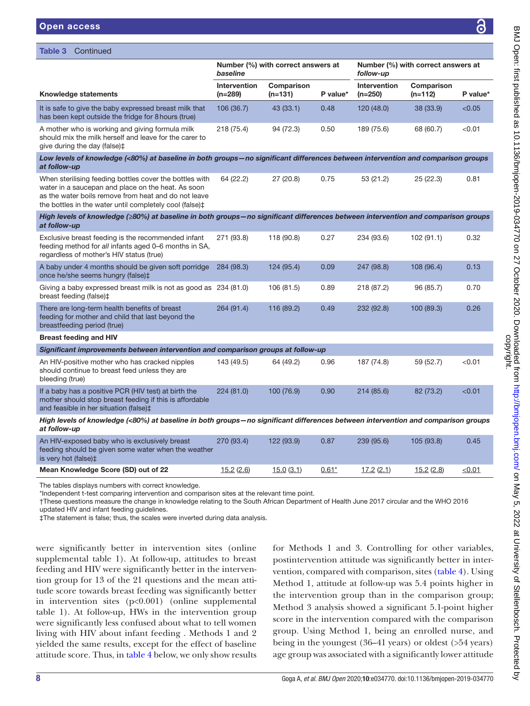Table 3 Continued

|                                                                                                                                                                                                                                            | Number (%) with correct answers at<br>baseline |                         |          | Number (%) with correct answers at<br>follow-up |                         |          |
|--------------------------------------------------------------------------------------------------------------------------------------------------------------------------------------------------------------------------------------------|------------------------------------------------|-------------------------|----------|-------------------------------------------------|-------------------------|----------|
| <b>Knowledge statements</b>                                                                                                                                                                                                                | Intervention<br>$(n=289)$                      | Comparison<br>$(n=131)$ | P value* | Intervention<br>$(n=250)$                       | Comparison<br>$(n=112)$ | P value* |
| It is safe to give the baby expressed breast milk that<br>has been kept outside the fridge for 8 hours (true)                                                                                                                              | 106 (36.7)                                     | 43(33.1)                | 0.48     | 120(48.0)                                       | 38 (33.9)               | < 0.05   |
| A mother who is working and giving formula milk<br>should mix the milk herself and leave for the carer to<br>give during the day (false)‡                                                                                                  | 218 (75.4)                                     | 94 (72.3)               | 0.50     | 189 (75.6)                                      | 68 (60.7)               | < 0.01   |
| Low levels of knowledge (<80%) at baseline in both groups-no significant differences between intervention and comparison groups<br>at follow-up                                                                                            |                                                |                         |          |                                                 |                         |          |
| When sterilising feeding bottles cover the bottles with<br>water in a saucepan and place on the heat. As soon<br>as the water boils remove from heat and do not leave<br>the bottles in the water until completely cool (false) $\ddagger$ | 64 (22.2)                                      | 27 (20.8)               | 0.75     | 53 (21.2)                                       | 25(22.3)                | 0.81     |
| High levels of knowledge (≥80%) at baseline in both groups-no significant differences between intervention and comparison groups<br>at follow-up                                                                                           |                                                |                         |          |                                                 |                         |          |
| Exclusive breast feeding is the recommended infant<br>feeding method for all infants aged 0-6 months in SA,<br>regardless of mother's HIV status (true)                                                                                    | 271 (93.8)                                     | 118 (90.8)              | 0.27     | 234 (93.6)                                      | 102 (91.1)              | 0.32     |
| A baby under 4 months should be given soft porridge<br>once he/she seems hungry (false) <sup>±</sup>                                                                                                                                       | 284 (98.3)                                     | 124 (95.4)              | 0.09     | 247 (98.8)                                      | 108 (96.4)              | 0.13     |
| Giving a baby expressed breast milk is not as good as 234 (81.0)<br>breast feeding (false)‡                                                                                                                                                |                                                | 106 (81.5)              | 0.89     | 218 (87.2)                                      | 96 (85.7)               | 0.70     |
| There are long-term health benefits of breast<br>feeding for mother and child that last beyond the<br>breastfeeding period (true)                                                                                                          | 264 (91.4)                                     | 116 (89.2)              | 0.49     | 232 (92.8)                                      | 100 (89.3)              | 0.26     |
| <b>Breast feeding and HIV</b>                                                                                                                                                                                                              |                                                |                         |          |                                                 |                         |          |
| Significant improvements between intervention and comparison groups at follow-up                                                                                                                                                           |                                                |                         |          |                                                 |                         |          |
| An HIV-positive mother who has cracked nipples<br>should continue to breast feed unless they are<br>bleeding (true)                                                                                                                        | 143 (49.5)                                     | 64 (49.2)               | 0.96     | 187 (74.8)                                      | 59 (52.7)               | < 0.01   |
| If a baby has a positive PCR (HIV test) at birth the<br>mother should stop breast feeding if this is affordable<br>and feasible in her situation (false)‡                                                                                  | 224 (81.0)                                     | 100 (76.9)              | 0.90     | 214 (85.6)                                      | 82 (73.2)               | < 0.01   |
| High levels of knowledge (<80%) at baseline in both groups-no significant differences between intervention and comparison groups<br>at follow-up                                                                                           |                                                |                         |          |                                                 |                         |          |
| An HIV-exposed baby who is exclusively breast<br>feeding should be given some water when the weather<br>is very hot (false) <sup>±</sup>                                                                                                   | 270 (93.4)                                     | 122 (93.9)              | 0.87     | 239 (95.6)                                      | 105 (93.8)              | 0.45     |

Mean Knowledge Score (SD) out of 22  $15.2 (2.6)$   $15.0 (3.1)$   $0.61*$   $17.2 (2.1)$   $15.2 (2.8)$   $\leq 0.01$ 

The tables displays numbers with correct knowledge.

\*Independent t-test comparing intervention and comparison sites at the relevant time point.

†These questions measure the change in knowledge relating to the South African Department of Health June 2017 circular and the WHO 2016 updated HIV and infant feeding guidelines.

‡The statement is false; thus, the scales were inverted during data analysis.

were significantly better in intervention sites [\(online](https://dx.doi.org/10.1136/bmjopen-2019-034770) [supplemental table 1\)](https://dx.doi.org/10.1136/bmjopen-2019-034770). At follow-up, attitudes to breast feeding and HIV were significantly better in the intervention group for 13 of the 21 questions and the mean attitude score towards breast feeding was significantly better in intervention sites (p<0.001) ([online supplemental](https://dx.doi.org/10.1136/bmjopen-2019-034770) [table 1\)](https://dx.doi.org/10.1136/bmjopen-2019-034770). At follow-up, HWs in the intervention group were significantly less confused about what to tell women living with HIV about infant feeding . Methods 1 and 2 yielded the same results, except for the effect of baseline attitude score. Thus, in [table](#page-8-0) 4 below, we only show results

for Methods 1 and 3. Controlling for other variables, postintervention attitude was significantly better in intervention, compared with comparison, sites ([table](#page-8-0) 4). Using Method 1, attitude at follow-up was 5.4 points higher in the intervention group than in the comparison group; Method 3 analysis showed a significant 5.1-point higher score in the intervention compared with the comparison group. Using Method 1, being an enrolled nurse, and being in the youngest (36–41 years) or oldest (>54 years) age group was associated with a significantly lower attitude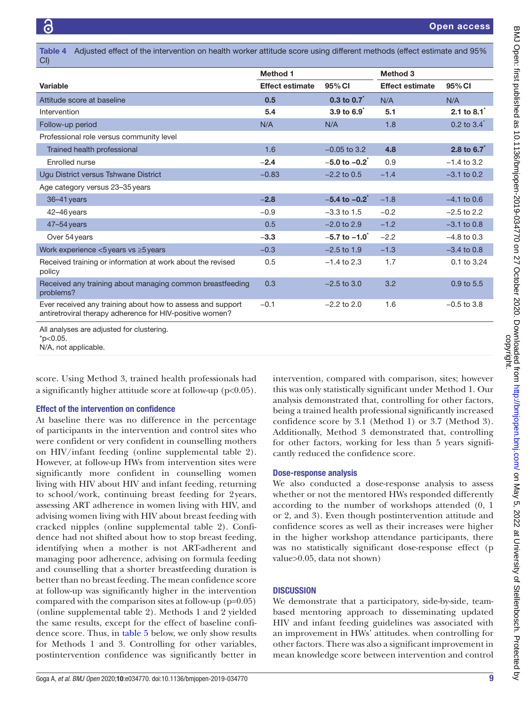<span id="page-8-0"></span>Table 4 Adjusted effect of the intervention on health worker attitude score using different methods (effect estimate and 95% CI)

|                                                                                                                        | <b>Method 1</b>        |                               | Method 3               |                             |  |
|------------------------------------------------------------------------------------------------------------------------|------------------------|-------------------------------|------------------------|-----------------------------|--|
| Variable                                                                                                               | <b>Effect estimate</b> | 95% CI                        | <b>Effect estimate</b> | 95% CI                      |  |
| Attitude score at baseline                                                                                             | 0.5                    | $0.3$ to $0.7$ <sup>*</sup>   | N/A                    | N/A                         |  |
| Intervention                                                                                                           | 5.4                    | $3.9$ to $6.9$                | 5.1                    | 2.1 to $8.1$ <sup>*</sup>   |  |
| Follow-up period                                                                                                       | N/A                    | N/A                           | 1.8                    | $0.2$ to $3.4$ <sup>*</sup> |  |
| Professional role versus community level                                                                               |                        |                               |                        |                             |  |
| Trained health professional                                                                                            | 1.6                    | $-0.05$ to 3.2                | 4.8                    | 2.8 to $6.7$                |  |
| Enrolled nurse                                                                                                         | $-2.4$                 | $-5.0$ to $-0.2$ <sup>*</sup> | 0.9                    | $-1.4$ to 3.2               |  |
| Ugu District versus Tshwane District                                                                                   | $-0.83$                | $-2.2$ to 0.5                 | $-1.4$                 | $-3.1$ to 0.2               |  |
| Age category versus 23-35 years                                                                                        |                        |                               |                        |                             |  |
| 36-41 years                                                                                                            | $-2.8$                 | $-5.4$ to $-0.2$ <sup>*</sup> | $-1.8$                 | $-4.1$ to 0.6               |  |
| 42-46 years                                                                                                            | $-0.9$                 | $-3.3$ to 1.5                 | $-0.2$                 | $-2.5$ to 2.2               |  |
| $47 - 54$ years                                                                                                        | 0.5                    | $-2.0$ to 2.9                 | $-1.2$                 | $-3.1$ to 0.8               |  |
| Over 54 years                                                                                                          | $-3.3$                 | $-5.7$ to $-1.0$              | $-2.2$                 | $-4.8$ to 0.3               |  |
| Work experience $<$ 5 years vs $\geq$ 5 years                                                                          | $-0.3$                 | $-2.5$ to 1.9                 | $-1.3$                 | $-3.4$ to 0.8               |  |
| Received training or information at work about the revised<br>policy                                                   | 0.5                    | $-1.4$ to 2.3                 | 1.7                    | 0.1 to 3.24                 |  |
| Received any training about managing common breastfeeding<br>problems?                                                 | 0.3                    | $-2.5$ to 3.0                 | 3.2                    | 0.9 to 5.5                  |  |
| Ever received any training about how to assess and support<br>antiretroviral therapy adherence for HIV-positive women? | $-0.1$                 | $-2.2$ to 2.0                 | 1.6                    | $-0.5$ to 3.8               |  |

All analyses are adjusted for clustering.

 $*p<0.05$ .

N/A, not applicable.

score. Using Method 3, trained health professionals had a significantly higher attitude score at follow-up  $(p<0.05)$ .

#### Effect of the intervention on confidence

At baseline there was no difference in the percentage of participants in the intervention and control sites who were confident or very confident in counselling mothers on HIV/infant feeding [\(online supplemental table 2](https://dx.doi.org/10.1136/bmjopen-2019-034770)). However, at follow-up HWs from intervention sites were significantly more confident in counselling women living with HIV about HIV and infant feeding, returning to school/work, continuing breast feeding for 2years, assessing ART adherence in women living with HIV, and advising women living with HIV about breast feeding with cracked nipples ([online supplemental table 2\)](https://dx.doi.org/10.1136/bmjopen-2019-034770). Confidence had not shifted about how to stop breast feeding, identifying when a mother is not ART-adherent and managing poor adherence, advising on formula feeding and counselling that a shorter breastfeeding duration is better than no breast feeding. The mean confidence score at follow-up was significantly higher in the intervention compared with the comparison sites at follow-up (p=0.05) ([online supplemental table 2\)](https://dx.doi.org/10.1136/bmjopen-2019-034770). Methods 1 and 2 yielded the same results, except for the effect of baseline confidence score. Thus, in [table](#page-9-0) 5 below, we only show results for Methods 1 and 3. Controlling for other variables, postintervention confidence was significantly better in

intervention, compared with comparison, sites; however this was only statistically significant under Method 1. Our analysis demonstrated that, controlling for other factors, being a trained health professional significantly increased confidence score by 3.1 (Method 1) or 3.7 (Method 3). Additionally, Method 3 demonstrated that, controlling for other factors, working for less than 5 years significantly reduced the confidence score.

## Dose-response analysis

We also conducted a dose-response analysis to assess whether or not the mentored HWs responded differently according to the number of workshops attended (0, 1 or 2, and 3). Even though postintervention attitude and confidence scores as well as their increases were higher in the higher workshop attendance participants, there was no statistically significant dose-response effect (p value>0.05, data not shown)

# **DISCUSSION**

We demonstrate that a participatory, side-by-side, teambased mentoring approach to disseminating updated HIV and infant feeding guidelines was associated with an improvement in HWs' attitudes. when controlling for other factors. There was also a significant improvement in mean knowledge score between intervention and control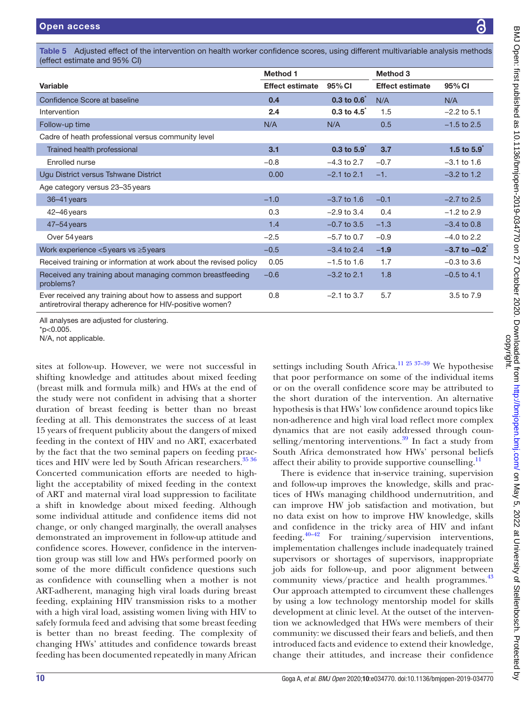<span id="page-9-0"></span>Table 5 Adjusted effect of the intervention on health worker confidence scores, using different multivariable analysis methods (effect estimate and 95% CI)

|                                                                                                                        | <b>Method 1</b>        |                             | Method 3               |                               |
|------------------------------------------------------------------------------------------------------------------------|------------------------|-----------------------------|------------------------|-------------------------------|
| Variable                                                                                                               | <b>Effect estimate</b> | 95% CI                      | <b>Effect estimate</b> | 95% CI                        |
| Confidence Score at baseline                                                                                           | 0.4                    | $0.3$ to $0.6$ <sup>*</sup> | N/A                    | N/A                           |
| Intervention                                                                                                           | 2.4                    | $0.3$ to $4.5$              | 1.5                    | $-2.2$ to 5.1                 |
| Follow-up time                                                                                                         | N/A                    | N/A                         | 0.5                    | $-1.5$ to 2.5                 |
| Cadre of heath professional versus community level                                                                     |                        |                             |                        |                               |
| Trained health professional                                                                                            | 3.1                    | $0.3$ to $5.9$              | 3.7                    | 1.5 to $5.9$                  |
| Enrolled nurse                                                                                                         | $-0.8$                 | $-4.3$ to 2.7               | $-0.7$                 | $-3.1$ to 1.6                 |
| Ugu District versus Tshwane District                                                                                   | 0.00                   | $-2.1$ to 2.1               | $-1.$                  | $-3.2$ to 1.2                 |
| Age category versus 23-35 years                                                                                        |                        |                             |                        |                               |
| $36 - 41$ years                                                                                                        | $-1.0$                 | $-3.7$ to 1.6               | $-0.1$                 | $-2.7$ to 2.5                 |
| $42 - 46$ years                                                                                                        | 0.3                    | $-2.9$ to 3.4               | 0.4                    | $-1.2$ to 2.9                 |
| $47 - 54$ years                                                                                                        | 1.4                    | $-0.7$ to 3.5               | $-1.3$                 | $-3.4$ to 0.8                 |
| Over 54 years                                                                                                          | $-2.5$                 | $-5.7$ to 0.7               | $-0.9$                 | $-4.0$ to 2.2                 |
| Work experience $<$ 5 years vs $\geq$ 5 years                                                                          | $-0.5$                 | $-3.4$ to 2.4               | $-1.9$                 | $-3.7$ to $-0.2$ <sup>*</sup> |
| Received training or information at work about the revised policy                                                      | 0.05                   | $-1.5$ to 1.6               | 1.7                    | $-0.3$ to 3.6                 |
| Received any training about managing common breastfeeding<br>problems?                                                 | $-0.6$                 | $-3.2$ to 2.1               | 1.8                    | $-0.5$ to 4.1                 |
| Ever received any training about how to assess and support<br>antiretroviral therapy adherence for HIV-positive women? | 0.8                    | $-2.1$ to 3.7               | 5.7                    | 3.5 to 7.9                    |

All analyses are adjusted for clustering.

N/A, not applicable.

sites at follow-up. However, we were not successful in shifting knowledge and attitudes about mixed feeding (breast milk and formula milk) and HWs at the end of the study were not confident in advising that a shorter duration of breast feeding is better than no breast feeding at all. This demonstrates the success of at least 15 years of frequent publicity about the dangers of mixed feeding in the context of HIV and no ART, exacerbated by the fact that the two seminal papers on feeding prac-tices and HIV were led by South African researchers.<sup>[35 36](#page-12-9)</sup> Concerted communication efforts are needed to highlight the acceptability of mixed feeding in the context of ART and maternal viral load suppression to facilitate a shift in knowledge about mixed feeding. Although some individual attitude and confidence items did not change, or only changed marginally, the overall analyses demonstrated an improvement in follow-up attitude and confidence scores. However, confidence in the intervention group was still low and HWs performed poorly on some of the more difficult confidence questions such as confidence with counselling when a mother is not ART-adherent, managing high viral loads during breast feeding, explaining HIV transmission risks to a mother with a high viral load, assisting women living with HIV to safely formula feed and advising that some breast feeding is better than no breast feeding. The complexity of changing HWs' attitudes and confidence towards breast feeding has been documented repeatedly in many African

settings including South Africa.<sup>11 25 37–39</sup> We hypothesise that poor performance on some of the individual items or on the overall confidence score may be attributed to the short duration of the intervention. An alternative hypothesis is that HWs' low confidence around topics like non-adherence and high viral load reflect more complex dynamics that are not easily addressed through counselling/mentoring interventions. $39$  In fact a study from South Africa demonstrated how HWs' personal beliefs affect their ability to provide supportive counselling.<sup>11</sup>

There is evidence that in-service training, supervision and follow-up improves the knowledge, skills and practices of HWs managing childhood undernutrition, and can improve HW job satisfaction and motivation, but no data exist on how to improve HW knowledge, skills and confidence in the tricky area of HIV and infant feeding.<sup>40–42</sup> For training/supervision interventions, implementation challenges include inadequately trained supervisors or shortages of supervisors, inappropriate job aids for follow-up, and poor alignment between community views/practice and health programmes.<sup>[43](#page-12-12)</sup> Our approach attempted to circumvent these challenges by using a low technology mentorship model for skills development at clinic level. At the outset of the intervention we acknowledged that HWs were members of their community: we discussed their fears and beliefs, and then introduced facts and evidence to extend their knowledge, change their attitudes, and increase their confidence

<sup>\*</sup>p<0.005.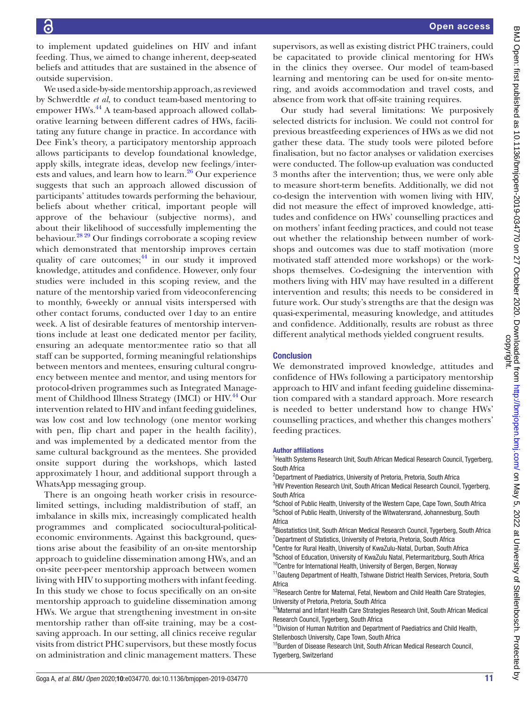to implement updated guidelines on HIV and infant feeding. Thus, we aimed to change inherent, deep-seated beliefs and attitudes that are sustained in the absence of outside supervision.

We used a side-by-side mentorship approach, as reviewed by Schwerdtle *et al*, to conduct team-based mentoring to empower HWs.<sup>44</sup> A team-based approach allowed collaborative learning between different cadres of HWs, facilitating any future change in practice. In accordance with Dee Fink's theory, a participatory mentorship approach allows participants to develop foundational knowledge, apply skills, integrate ideas, develop new feelings/interests and values, and learn how to learn.<sup>26</sup> Our experience suggests that such an approach allowed discussion of participants' attitudes towards performing the behaviour, beliefs about whether critical, important people will approve of the behaviour (subjective norms), and about their likelihood of successfully implementing the behaviour.[28 29](#page-12-7) Our findings corroborate a scoping review which demonstrated that mentorship improves certain quality of care outcomes; $^{44}$  $^{44}$  $^{44}$  in our study it improved knowledge, attitudes and confidence. However, only four studies were included in this scoping review, and the nature of the mentorship varied from videoconferencing to monthly, 6-weekly or annual visits interspersed with other contact forums, conducted over 1day to an entire week. A list of desirable features of mentorship interventions include at least one dedicated mentor per facility, ensuring an adequate mentor:mentee ratio so that all staff can be supported, forming meaningful relationships between mentors and mentees, ensuring cultural congruency between mentee and mentor, and using mentors for protocol-driven programmes such as Integrated Management of Childhood Illness Strategy (IMCI) or HIV.<sup>44</sup> Our intervention related to HIV and infant feeding guidelines, was low cost and low technology (one mentor working with pen, flip chart and paper in the health facility), and was implemented by a dedicated mentor from the same cultural background as the mentees. She provided onsite support during the workshops, which lasted approximately 1hour, and additional support through a WhatsApp messaging group.

There is an ongoing heath worker crisis in resourcelimited settings, including maldistribution of staff, an imbalance in skills mix, increasingly complicated health programmes and complicated sociocultural-politicaleconomic environments. Against this background, questions arise about the feasibility of an on-site mentorship approach to guideline dissemination among HWs, and an on-site peer-peer mentorship approach between women living with HIV to supporting mothers with infant feeding. In this study we chose to focus specifically on an on-site mentorship approach to guideline dissemination among HWs. We argue that strengthening investment in on-site mentorship rather than off-site training, may be a costsaving approach. In our setting, all clinics receive regular visits from district PHC supervisors, but these mostly focus on administration and clinic management matters. These

supervisors, as well as existing district PHC trainers, could be capacitated to provide clinical mentoring for HWs in the clinics they oversee. Our model of team-based learning and mentoring can be used for on-site mentoring, and avoids accommodation and travel costs, and absence from work that off-site training requires.

Our study had several limitations: We purposively selected districts for inclusion. We could not control for previous breastfeeding experiences of HWs as we did not gather these data. The study tools were piloted before finalisation, but no factor analyses or validation exercises were conducted. The follow-up evaluation was conducted 3 months after the intervention; thus, we were only able to measure short-term benefits. Additionally, we did not co-design the intervention with women living with HIV, did not measure the effect of improved knowledge, attitudes and confidence on HWs' counselling practices and on mothers' infant feeding practices, and could not tease out whether the relationship between number of workshops and outcomes was due to staff motivation (more motivated staff attended more workshops) or the workshops themselves. Co-designing the intervention with mothers living with HIV may have resulted in a different intervention and results; this needs to be considered in future work. Our study's strengths are that the design was quasi-experimental, measuring knowledge, and attitudes and confidence. Additionally, results are robust as three different analytical methods yielded congruent results.

## **Conclusion**

We demonstrated improved knowledge, attitudes and confidence of HWs following a participatory mentorship approach to HIV and infant feeding guideline dissemination compared with a standard approach. More research is needed to better understand how to change HWs' counselling practices, and whether this changes mothers' feeding practices.

#### Author affiliations

<sup>1</sup>Health Systems Research Unit, South African Medical Research Council, Tygerberg, South Africa

<sup>2</sup>Department of Paediatrics, University of Pretoria, Pretoria, South Africa <sup>3</sup>HIV Prevention Research Unit, South African Medical Research Council, Tygerberg, South Africa

4 School of Public Health, University of the Western Cape, Cape Town, South Africa 5 School of Public Health, University of the Witwatersrand, Johannesburg, South Africa

<sup>6</sup>Biostatistics Unit, South African Medical Research Council, Tygerberg, South Africa <sup>7</sup>Department of Statistics, University of Pretoria, Pretoria, South Africa

<sup>8</sup> Centre for Rural Health, University of KwaZulu-Natal, Durban, South Africa <sup>9</sup>School of Education, University of KwaZulu Natal, Pietermaritzburg, South Africa

<sup>10</sup>Centre for International Health, University of Bergen, Bergen, Norway

<sup>11</sup> Gauteng Department of Health, Tshwane District Health Services, Pretoria, South Africa

<sup>12</sup>Research Centre for Maternal, Fetal, Newborn and Child Health Care Strategies, University of Pretoria, Pretoria, South Africa

<sup>13</sup>Maternal and Infant Health Care Strategies Research Unit, South African Medical Research Council, Tygerberg, South Africa

<sup>14</sup>Division of Human Nutrition and Department of Paediatrics and Child Health, Stellenbosch University, Cape Town, South Africa

<sup>15</sup>Burden of Disease Research Unit, South African Medical Research Council, Tygerberg, Switzerland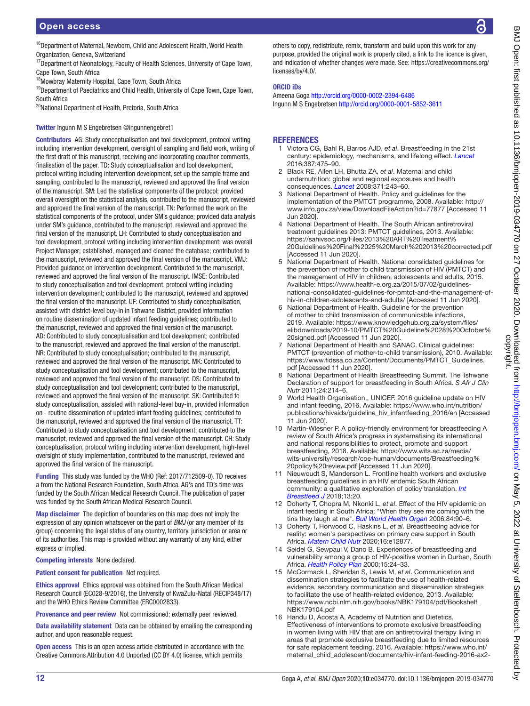Cape Town, South Africa

South Africa

Organization, Geneva, Switzerland

<sup>18</sup>Mowbray Maternity Hospital, Cape Town, South Africa

20National Department of Health, Pretoria, South Africa

Twitter Ingunn M S Engebretsen [@ingunnengebret1](https://twitter.com/ingunnengebret1)

<sup>16</sup>Department of Maternal, Newborn, Child and Adolescent Health, World Health <sup>17</sup>Department of Neonatology, Faculty of Health Sciences, University of Cape Town, <sup>19</sup>Department of Paediatrics and Child Health, University of Cape Town, Cape Town, Contributors AG: Study conceptualisation and tool development, protocol writing including intervention development, oversight of sampling and field work, writing of the first draft of this manuscript, receiving and incorporating coauthor comments, finalisation of the paper. TD: Study conceptualisation and tool development, protocol writing including intervention development, set up the sample frame and sampling, contributed to the manuscript, reviewed and approved the final version of the manuscript. SM: Led the statistical components of the protocol; provided overall oversight on the statistical analysis, contributed to the manuscript, reviewed and approved the final version of the manuscript. TN: Performed the work on the statistical components of the protocol, under SM's guidance; provided data analysis under SM's guidance, contributed to the manuscript, reviewed and approved the final version of the manuscript. LH: Contributed to study conceptualisation and on routine dissemination of updated infant feeding guidelines; contributed to [licenses/by/4.0/](https://creativecommons.org/licenses/by/4.0/). ORCID iDs **REFERENCES** 2016;387:475–90. Jun 2020]. *Nutr* 2011;24:214–6. 11 Jun 2020].

tool development, protocol writing including intervention development; was overall Project Manager; established, managed and cleaned the database; contributed to the manuscript, reviewed and approved the final version of the manuscript. VMJ: Provided guidance on intervention development. Contributed to the manuscript, reviewed and approved the final version of the manuscript. IMSE: Contributed to study conceptualisation and tool development, protocol writing including intervention development; contributed to the manuscript, reviewed and approved the final version of the manuscript. UF: Contributed to study conceptualisation, assisted with district-level buy-in in Tshwane District, provided information

the manuscript, reviewed and approved the final version of the manuscript. AD: Contributed to study conceptualisation and tool development; contributed to the manuscript, reviewed and approved the final version of the manuscript. NR: Contributed to study conceptualisation; contributed to the manuscript, reviewed and approved the final version of the manuscript. MK: Contributed to study conceptualisation and tool development; contributed to the manuscript, reviewed and approved the final version of the manuscript. DS: Contributed to study conceptualisation and tool development; contributed to the manuscript, reviewed and approved the final version of the manuscript. SK: Contributed to study conceptualisation, assisted with national-level buy-in, provided information on - routine dissemination of updated infant feeding guidelines; contributed to the manuscript, reviewed and approved the final version of the manuscript. TT: Contributed to study conceptualisation and tool development; contributed to the manuscript, reviewed and approved the final version of the manuscript. CH: Study conceptualisation, protocol writing including intervention development, high-level oversight of study implementation, contributed to the manuscript, reviewed and approved the final version of the manuscript.

Funding This study was funded by the WHO (Ref: 2017/712509-0). TD receives a from the National Research Foundation, South Africa. AG's and TD's time was funded by the South African Medical Research Council. The publication of paper was funded by the South African Medical Research Council.

Map disclaimer The depiction of boundaries on this map does not imply the expression of any opinion whatsoever on the part of *BMJ* (or any member of its group) concerning the legal status of any country, territory, jurisdiction or area or of its authorities. This map is provided without any warranty of any kind, either express or implied.

Competing interests None declared.

Patient consent for publication Not required.

Ethics approval Ethics approval was obtained from the South African Medical Research Council (EC028-9/2016), the University of KwaZulu-Natal (RECIP348/17) and the WHO Ethics Review Committee (ERC0002833).

Provenance and peer review Not commissioned; externally peer reviewed.

Data availability statement Data can be obtained by emailing the corresponding author, and upon reasonable request.

Open access This is an open access article distributed in accordance with the Creative Commons Attribution 4.0 Unported (CC BY 4.0) license, which permits

others to copy, redistribute, remix, transform and build upon this work for any purpose, provided the original work is properly cited, a link to the licence is given, and indication of whether changes were made. See: [https://creativecommons.org/](https://creativecommons.org/licenses/by/4.0/)

Ameena Goga <http://orcid.org/0000-0002-2394-6486> Ingunn M S Engebretsen<http://orcid.org/0000-0001-5852-3611>

- <span id="page-11-0"></span>1 Victora CG, Bahl R, Barros AJD, *et al*. Breastfeeding in the 21st century: epidemiology, mechanisms, and lifelong effect. *[Lancet](http://dx.doi.org/10.1016/S0140-6736(15)01024-7)*
- 2 Black RE, Allen LH, Bhutta ZA, *et al*. Maternal and child undernutrition: global and regional exposures and health consequences. *[Lancet](http://dx.doi.org/10.1016/S0140-6736(07)61690-0)* 2008;371:243–60.
- <span id="page-11-1"></span>National Department of Health. Policy and guidelines for the implementation of the PMTCT programme, 2008. Available: [http://](http://www.info.gov.za/view/DownloadFileAction?id=77877) [www.info.gov.za/view/DownloadFileAction?id=77877](http://www.info.gov.za/view/DownloadFileAction?id=77877) [Accessed 11
- 4 National Department of Health. The South African antiretroviral treatment guidelines 2013: PMTCT guidelines, 2013. Available: [https://sahivsoc.org/Files/2013%20ART%20Treatment%](https://sahivsoc.org/Files/2013%20ART%20Treatment%20Guidelines%20Final%2025%20March%202013%20corrected.pdf) [20Guidelines%20Final%2025%20March%202013%20corrected.pdf](https://sahivsoc.org/Files/2013%20ART%20Treatment%20Guidelines%20Final%2025%20March%202013%20corrected.pdf)  [Accessed 11 Jun 2020].
- 5 National Department of Health. National conslidated guidelines for the prevention of mother to child transmission of HIV (PMTCT) and the management of HIV in children, adolescents and adults, 2015. Available: [https://www.health-e.org.za/2015/07/02/guidelines](https://www.health-e.org.za/2015/07/02/guidelines-national-consolidated-guidelines-for-pmtct-and-the-management-of-hiv-in-children-adolescents-and-adults/)[national-consolidated-guidelines-for-pmtct-and-the-management-of](https://www.health-e.org.za/2015/07/02/guidelines-national-consolidated-guidelines-for-pmtct-and-the-management-of-hiv-in-children-adolescents-and-adults/)[hiv-in-children-adolescents-and-adults/](https://www.health-e.org.za/2015/07/02/guidelines-national-consolidated-guidelines-for-pmtct-and-the-management-of-hiv-in-children-adolescents-and-adults/) [Accessed 11 Jun 2020].
- 6 National Department of Health. Guideline for the prevention of mother to child transmission of communicable infections, 2019. Available: [https://www.knowledgehub.org.za/system/files/](https://www.knowledgehub.org.za/system/files/elibdownloads/2019-10/PMTCT%20Guideline%2028%20October%20signed.pdf) [elibdownloads/2019-10/PMTCT%20Guideline%2028%20October%](https://www.knowledgehub.org.za/system/files/elibdownloads/2019-10/PMTCT%20Guideline%2028%20October%20signed.pdf) [20signed.pdf](https://www.knowledgehub.org.za/system/files/elibdownloads/2019-10/PMTCT%20Guideline%2028%20October%20signed.pdf) [Accessed 11 Jun 2020].
- 7 National Department of Health and SANAC. Clinical guidelines: PMTCT (prevention of mother-to-child transmission), 2010. Available: [https://www.fidssa.co.za/Content/Documents/PMTCT\\_Guidelines.](https://www.fidssa.co.za/Content/Documents/PMTCT_Guidelines.pdf) [pdf](https://www.fidssa.co.za/Content/Documents/PMTCT_Guidelines.pdf) [Accessed 11 Jun 2020].
- <span id="page-11-2"></span>8 National Department of Health Breastfeeding Summit. The Tshwane Declaration of support for breastfeeding in South Africa. *S Afr J Clin*
- <span id="page-11-3"></span>9 World Health Organisation,, UNICEF. 2016 guideline update on HIV and infant feeding, 2016. Available: [https://www.who.int/nutrition/](https://www.who.int/nutrition/publications/hivaids/guideline_hiv_infantfeeding_2016/en) [publications/hivaids/guideline\\_hiv\\_infantfeeding\\_2016/en](https://www.who.int/nutrition/publications/hivaids/guideline_hiv_infantfeeding_2016/en) [Accessed
- <span id="page-11-4"></span>10 Martin-Wiesner P. A policy-friendly environment for breastfeeding A review of South Africa's progress in systematising its international and national responsibilities to protect, promote and support breastfeeding, 2018. Available: [https://www.wits.ac.za/media/](https://www.wits.ac.za/media/wits-university/research/coe-human/documents/Breastfeeding%20policy%20review.pdf) [wits-university/research/coe-human/documents/Breastfeeding%](https://www.wits.ac.za/media/wits-university/research/coe-human/documents/Breastfeeding%20policy%20review.pdf) [20policy%20review.pdf](https://www.wits.ac.za/media/wits-university/research/coe-human/documents/Breastfeeding%20policy%20review.pdf) [Accessed 11 Jun 2020].
- <span id="page-11-5"></span>11 Nieuwoudt S, Manderson L. Frontline health workers and exclusive breastfeeding guidelines in an HIV endemic South African community: a qualitative exploration of policy translation. *[Int](http://dx.doi.org/10.1186/s13006-018-0164-y)  [Breastfeed J](http://dx.doi.org/10.1186/s13006-018-0164-y)* 2018;13:20.
- <span id="page-11-6"></span>12 Doherty T, Chopra M, Nkonki L, *et al*. Effect of the HIV epidemic on infant feeding in South Africa: "When they see me coming with the tins they laugh at me". *[Bull World Health Organ](http://dx.doi.org/10.2471/blt.04.019448)* 2006;84:90–6.
- 13 Doherty T, Horwood C, Haskins L, *et al*. Breastfeeding advice for reality: women's perspectives on primary care support in South Africa. *[Matern Child Nutr](http://dx.doi.org/10.1111/mcn.12877)* 2020;16:e12877.
- 14 Seidel G, Sewpaul V, Dano B. Experiences of breastfeeding and vulnerability among a group of HIV-positive women in Durban, South Africa. *[Health Policy Plan](http://dx.doi.org/10.1093/heapol/15.1.24)* 2000;15:24–33.
- <span id="page-11-7"></span>15 McCormack L, Sheridan S, Lewis M, *et al*. Communication and dissemination strategies to facilitate the use of health-related evidence. secondary communication and dissemination strategies to facilitate the use of health-related evidence, 2013. Available: [https://www.ncbi.nlm.nih.gov/books/NBK179104/pdf/Bookshelf\\_](https://www.ncbi.nlm.nih.gov/books/NBK179104/pdf/Bookshelf_NBK179104.pdf) [NBK179104.pdf](https://www.ncbi.nlm.nih.gov/books/NBK179104/pdf/Bookshelf_NBK179104.pdf)
- <span id="page-11-8"></span>16 Handu D, Acosta A, Academy of Nutrition and Dietetics. Effectiveness of interventions to promote exclusive breastfeeding in women living with HIV that are on antiretroviral therapy living in areas that promote exclusive breastfeeding due to limited resources for safe replacement feeding, 2016. Available: [https://www.who.int/](https://www.who.int/maternal_child_adolescent/documents/hiv-infant-feeding-2016-ax2-breastfeeding-promotion_systematic-review.pdf?ua=1) [maternal\\_child\\_adolescent/documents/hiv-infant-feeding-2016-ax2-](https://www.who.int/maternal_child_adolescent/documents/hiv-infant-feeding-2016-ax2-breastfeeding-promotion_systematic-review.pdf?ua=1)